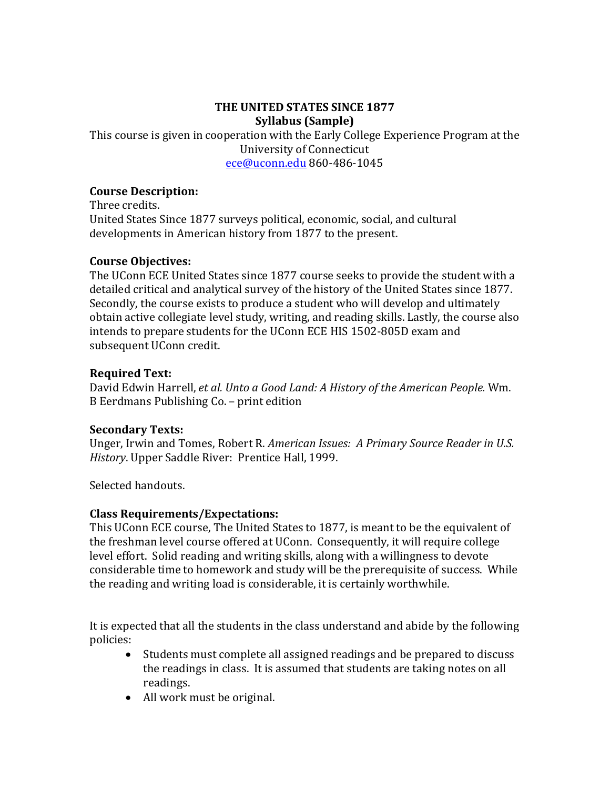#### **THE UNITED STATES SINCE 1877 Syllabus (Sample)**

This course is given in cooperation with the Early College Experience Program at the University of Connecticut [ece@uconn.edu](mailto:ece@uconn.edu) 860-486-1045

#### **Course Description:**

Three credits. United States Since 1877 surveys political, economic, social, and cultural developments in American history from 1877 to the present.

#### **Course Objectives:**

The UConn ECE United States since 1877 course seeks to provide the student with a detailed critical and analytical survey of the history of the United States since 1877. Secondly, the course exists to produce a student who will develop and ultimately obtain active collegiate level study, writing, and reading skills. Lastly, the course also intends to prepare students for the UConn ECE HIS 1502-805D exam and subsequent UConn credit.

## **Required Text:**

David Edwin Harrell, *et al. Unto a Good Land: A History of the American People.* Wm. B Eerdmans Publishing Co. – print edition

#### **Secondary Texts:**

Unger, Irwin and Tomes, Robert R. *American Issues: A Primary Source Reader in U.S. History*. Upper Saddle River: Prentice Hall, 1999.

Selected handouts.

## **Class Requirements/Expectations:**

This UConn ECE course, The United States to 1877, is meant to be the equivalent of the freshman level course offered at UConn. Consequently, it will require college level effort. Solid reading and writing skills, along with a willingness to devote considerable time to homework and study will be the prerequisite of success. While the reading and writing load is considerable, it is certainly worthwhile.

It is expected that all the students in the class understand and abide by the following policies:

- Students must complete all assigned readings and be prepared to discuss the readings in class. It is assumed that students are taking notes on all readings.
- All work must be original.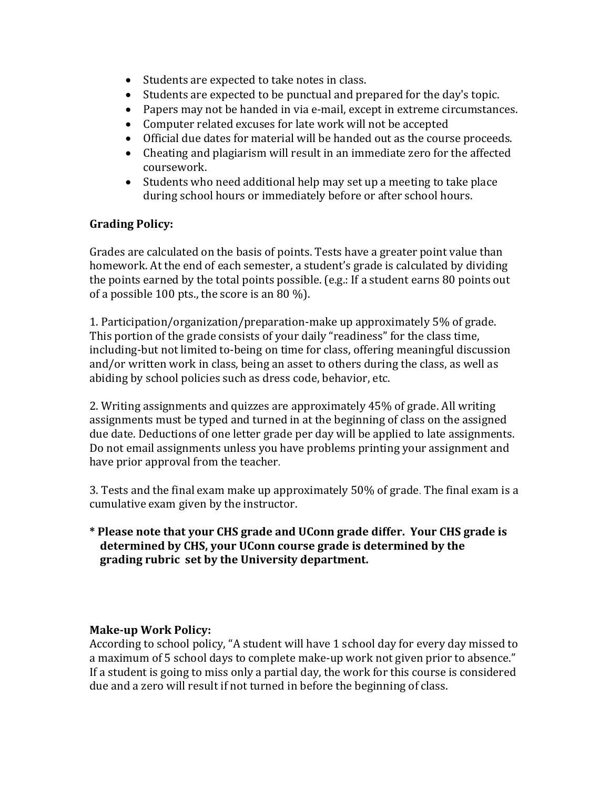- Students are expected to take notes in class.
- Students are expected to be punctual and prepared for the day's topic.
- Papers may not be handed in via e-mail, except in extreme circumstances.
- Computer related excuses for late work will not be accepted<br>• Official due dates for material will be handed out as the cour
- Official due dates for material will be handed out as the course proceeds.
- Cheating and plagiarism will result in an immediate zero for the affected coursework.
- Students who need additional help may set up a meeting to take place during school hours or immediately before or after school hours.

# **Grading Policy:**

Grades are calculated on the basis of points. Tests have a greater point value than homework. At the end of each semester, a student's grade is calculated by dividing the points earned by the total points possible. (e.g.: If a student earns 80 points out of a possible 100 pts., the score is an 80 %).

1. Participation/organization/preparation-make up approximately 5% of grade. This portion of the grade consists of your daily "readiness" for the class time, including-but not limited to-being on time for class, offering meaningful discussion and/or written work in class, being an asset to others during the class, as well as abiding by school policies such as dress code, behavior, etc.

2. Writing assignments and quizzes are approximately 45% of grade. All writing assignments must be typed and turned in at the beginning of class on the assigned due date. Deductions of one letter grade per day will be applied to late assignments. Do not email assignments unless you have problems printing your assignment and have prior approval from the teacher.

3. Tests and the final exam make up approximately 50% of grade. The final exam is a cumulative exam given by the instructor.

**\* Please note that your CHS grade and UConn grade differ. Your CHS grade is determined by CHS, your UConn course grade is determined by the grading rubric set by the University department.**

#### **Make-up Work Policy:**

According to school policy, "A student will have 1 school day for every day missed to a maximum of 5 school days to complete make-up work not given prior to absence." If a student is going to miss only a partial day, the work for this course is considered due and a zero will result if not turned in before the beginning of class.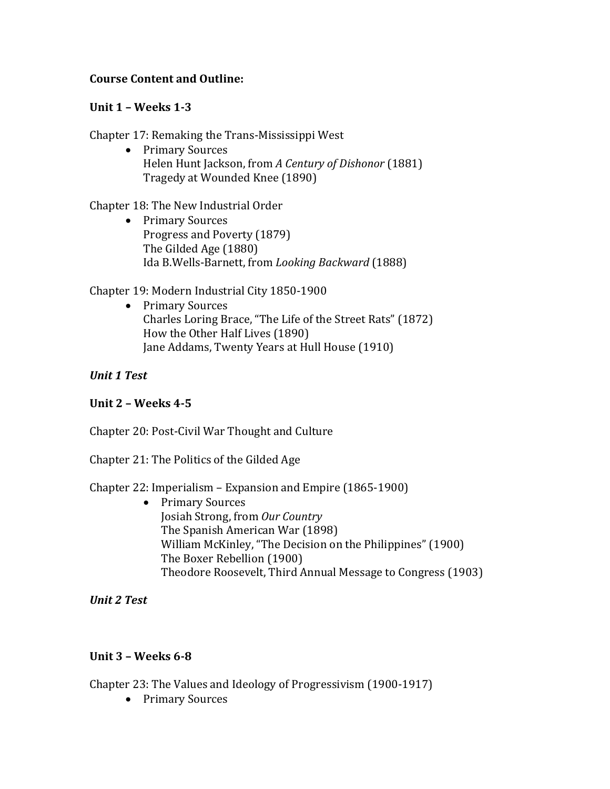#### **Course Content and Outline:**

#### **Unit 1 – Weeks 1-3**

Chapter 17: Remaking the Trans-Mississippi West

• Primary Sources Helen Hunt Jackson, from *A Century of Dishonor* (1881) Tragedy at Wounded Knee (1890)

Chapter 18: The New Industrial Order

• Primary Sources Progress and Poverty (1879) The Gilded Age (1880) Ida B.Wells-Barnett, from *Looking Backward* (1888)

## Chapter 19: Modern Industrial City 1850-1900

• Primary Sources Charles Loring Brace, "The Life of the Street Rats" (1872) How the Other Half Lives (1890) Jane Addams, Twenty Years at Hull House (1910)

## *Unit 1 Test*

## **Unit 2 – Weeks 4-5**

Chapter 20: Post-Civil War Thought and Culture

Chapter 21: The Politics of the Gilded Age

## Chapter 22: Imperialism – Expansion and Empire (1865-1900)

• Primary Sources Josiah Strong, from *Our Country* The Spanish American War (1898) William McKinley, "The Decision on the Philippines" (1900) The Boxer Rebellion (1900) Theodore Roosevelt, Third Annual Message to Congress (1903)

*Unit 2 Test*

## **Unit 3 – Weeks 6-8**

Chapter 23: The Values and Ideology of Progressivism (1900-1917)

• Primary Sources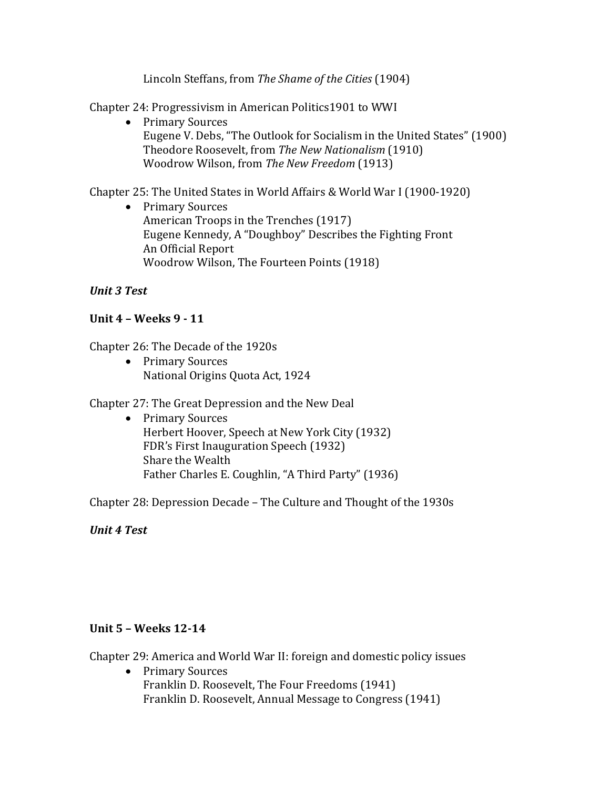Lincoln Steffans, from *The Shame of the Cities* (1904)

Chapter 24: Progressivism in American Politics1901 to WWI

• Primary Sources Eugene V. Debs, "The Outlook for Socialism in the United States" (1900) Theodore Roosevelt, from *The New Nationalism* (1910) Woodrow Wilson, from *The New Freedom* (1913)

Chapter 25: The United States in World Affairs & World War I (1900-1920)

• Primary Sources American Troops in the Trenches (1917) Eugene Kennedy, A "Doughboy" Describes the Fighting Front An Official Report Woodrow Wilson, The Fourteen Points (1918)

# *Unit 3 Test*

# **Unit 4 – Weeks 9 - 11**

Chapter 26: The Decade of the 1920s

• Primary Sources National Origins Quota Act, 1924

Chapter 27: The Great Depression and the New Deal

• Primary Sources Herbert Hoover, Speech at New York City (1932) FDR's First Inauguration Speech (1932) Share the Wealth Father Charles E. Coughlin, "A Third Party" (1936)

Chapter 28: Depression Decade – The Culture and Thought of the 1930s

*Unit 4 Test*

## **Unit 5 – Weeks 12-14**

Chapter 29: America and World War II: foreign and domestic policy issues

• Primary Sources Franklin D. Roosevelt, The Four Freedoms (1941) Franklin D. Roosevelt, Annual Message to Congress (1941)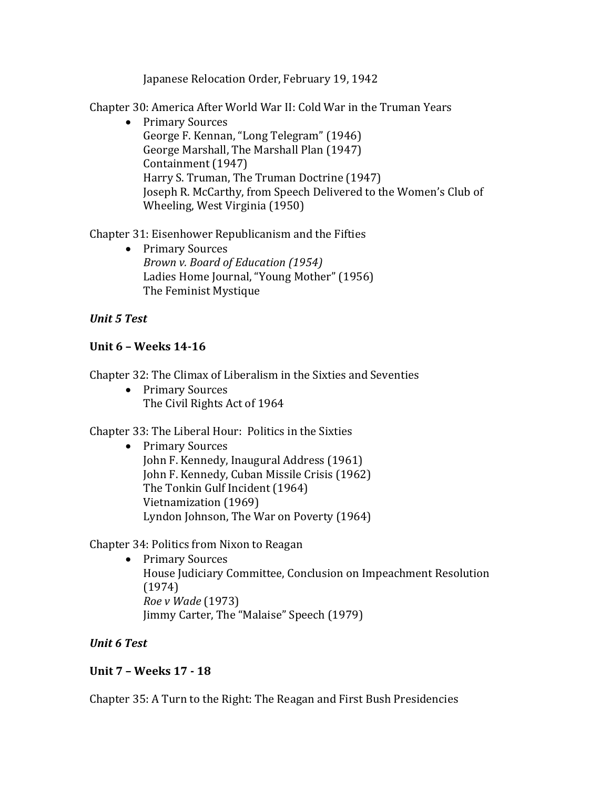Japanese Relocation Order, February 19, 1942

Chapter 30: America After World War II: Cold War in the Truman Years

• Primary Sources George F. Kennan, "Long Telegram" (1946) George Marshall, The Marshall Plan (1947) Containment (1947) Harry S. Truman, The Truman Doctrine (1947) Joseph R. McCarthy, from Speech Delivered to the Women's Club of Wheeling, West Virginia (1950)

Chapter 31: Eisenhower Republicanism and the Fifties

• Primary Sources *Brown v. Board of Education (1954)* Ladies Home Journal, "Young Mother" (1956) The Feminist Mystique

# *Unit 5 Test*

## **Unit 6 – Weeks 14-16**

Chapter 32: The Climax of Liberalism in the Sixties and Seventies

• Primary Sources The Civil Rights Act of 1964

Chapter 33: The Liberal Hour: Politics in the Sixties

• Primary Sources John F. Kennedy, Inaugural Address (1961) John F. Kennedy, Cuban Missile Crisis (1962) The Tonkin Gulf Incident (1964) Vietnamization (1969) Lyndon Johnson, The War on Poverty (1964)

Chapter 34: Politics from Nixon to Reagan

• Primary Sources House Judiciary Committee, Conclusion on Impeachment Resolution (1974) *Roe v Wade* (1973) Jimmy Carter, The "Malaise" Speech (1979)

## *Unit 6 Test*

## **Unit 7 – Weeks 17 - 18**

Chapter 35: A Turn to the Right: The Reagan and First Bush Presidencies